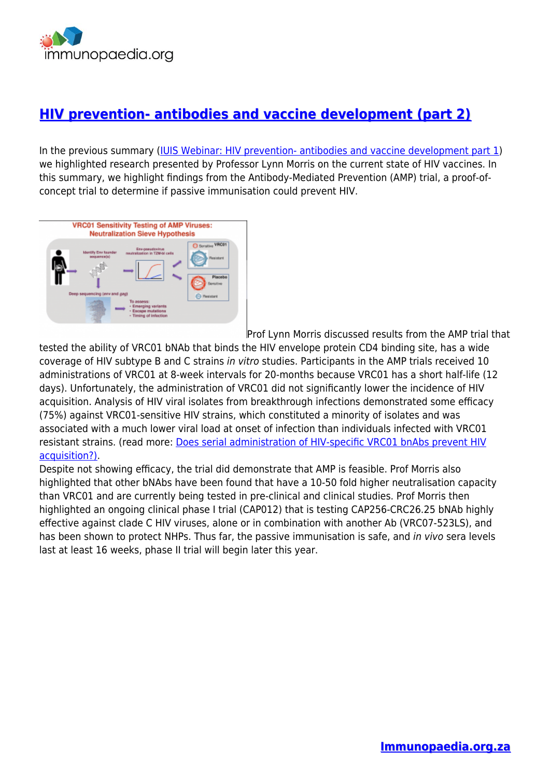

## **[HIV prevention- antibodies and vaccine development \(part 2\)](https://www.immunopaedia.org.za/webinars/iuis-immunopaedia-frontiers-webinars/hiv-prevention-antibodies-and-vaccine-development-part-2/)**

In the previous summary ([IUIS Webinar: HIV prevention- antibodies and vaccine development part 1](https://www.immunopaedia.org.za/webinars/hiv-prevention-antibodies-and-vaccine-development-part-1/)) we highlighted research presented by Professor Lynn Morris on the current state of HIV vaccines. In this summary, we highlight findings from the Antibody-Mediated Prevention (AMP) trial, a proof-ofconcept trial to determine if passive immunisation could prevent HIV.



[P](https://www.immunopaedia.org.za/wp-content/uploads/2021/08/Screenshot-2021-08-06-at-11.22.52.png)rof Lynn Morris discussed results from the AMP trial that

tested the ability of VRC01 bNAb that binds the HIV envelope protein CD4 binding site, has a wide coverage of HIV subtype B and C strains in vitro studies. Participants in the AMP trials received 10 administrations of VRC01 at 8-week intervals for 20-months because VRC01 has a short half-life (12 days). Unfortunately, the administration of VRC01 did not significantly lower the incidence of HIV acquisition. Analysis of HIV viral isolates from breakthrough infections demonstrated some efficacy (75%) against VRC01-sensitive HIV strains, which constituted a minority of isolates and was associated with a much lower viral load at onset of infection than individuals infected with VRC01 resistant strains. (read more: [Does serial administration of HIV-specific VRC01 bnAbs prevent HIV](https://www.immunopaedia.org.za/breaking-news/does-serial-administration-of-hiv-specific-vrc01-bnabs-prevent-hiv-acquisition/) [acquisition?\)](https://www.immunopaedia.org.za/breaking-news/does-serial-administration-of-hiv-specific-vrc01-bnabs-prevent-hiv-acquisition/).

Despite not showing efficacy, the trial did demonstrate that AMP is feasible. Prof Morris also highlighted that other bNAbs have been found that have a 10-50 fold higher neutralisation capacity than VRC01 and are currently being tested in pre-clinical and clinical studies. Prof Morris then highlighted an ongoing clinical phase I trial (CAP012) that is testing CAP256-CRC26.25 bNAb highly effective against clade C HIV viruses, alone or in combination with another Ab (VRC07-523LS), and has been shown to protect NHPs. Thus far, the passive immunisation is safe, and in vivo sera levels last at least 16 weeks, phase II trial will begin later this year.